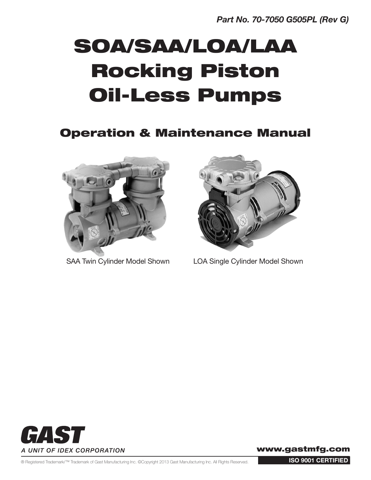# SOA/SAA/LOA/LAA Rocking Piston Oil-Less Pumps

# Operation & Maintenance Manual





SAA Twin Cylinder Model Shown LOA Single Cylinder Model Shown



www.gastmfg.com

® Registered Trademark/™ Trademark of Gast Manufacturing Inc. ©Copyright 2013 Gast Manufacturing Inc. All Rights Reserved.

ISO 9001 CERTIFIED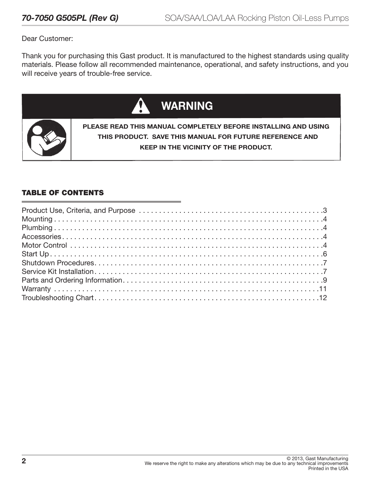Dear Customer:

Thank you for purchasing this Gast product. It is manufactured to the highest standards using quality materials. Please follow all recommended maintenance, operational, and safety instructions, and you will receive years of trouble-free service.



### TABLE OF CONTENTS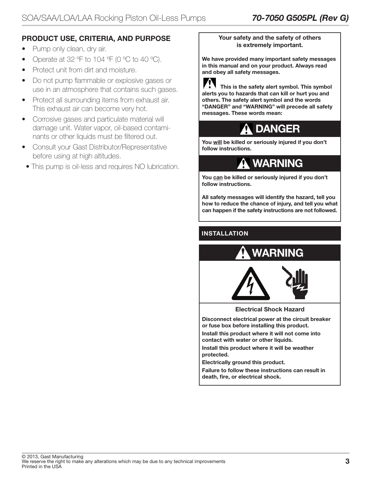### PRODUCT USE, CRITERIA, AND PURPOSE

- Pump only clean, dry air.
- Operate at 32  $\degree$ F to 104  $\degree$ F (0  $\degree$ C to 40  $\degree$ C).
- Protect unit from dirt and moisture.
- Do not pump flammable or explosive gases or use in an atmosphere that contains such gases.
- Protect all surrounding items from exhaust air. This exhaust air can become very hot.
- Corrosive gases and particulate material will damage unit. Water vapor, oil-based contaminants or other liquids must be filtered out.
- Consult your Gast Distributor/Representative before using at high altitudes.
- This pump is oil-less and requires NO lubrication.

#### Your safety and the safety of others is extremely important.

We have provided many important safety messages in this manual and on your product. Always read and obey all safety messages.

 This is the safety alert symbol. This symbol alerts you to hazards that can kill or hurt you and others. The safety alert symbol and the words "DANGER" and "WARNING" will precede all safety messages. These words mean:



You will be killed or seriously injured if you don't follow instructions.

# **A WARNING**

You can be killed or seriously injured if you don't follow instructions.

All safety messages will identify the hazard, tell you how to reduce the chance of injury, and tell you what can happen if the safety instructions are not followed.

#### INSTALLATION

i



Disconnect electrical power at the circuit breaker or fuse box before installing this product.

Install this product where it will not come into contact with water or other liquids.

Install this product where it will be weather protected.

Electrically ground this product.

Failure to follow these instructions can result in death, fire, or electrical shock.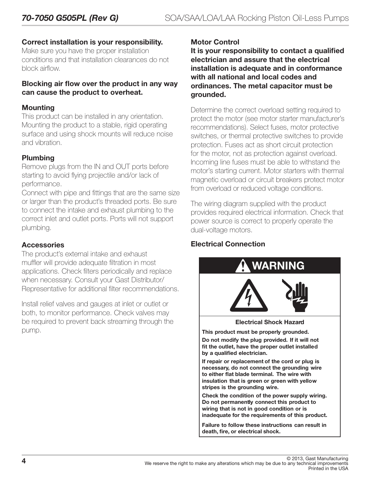#### Correct installation is your responsibility.

Make sure you have the proper installation conditions and that installation clearances do not block airflow.

#### Blocking air flow over the product in any way can cause the product to overheat.

#### **Mounting**

This product can be installed in any orientation. Mounting the product to a stable, rigid operating surface and using shock mounts will reduce noise and vibration.

#### Plumbing

Remove plugs from the IN and OUT ports before starting to avoid flying projectile and/or lack of performance.

Connect with pipe and fittings that are the same size or larger than the product's threaded ports. Be sure to connect the intake and exhaust plumbing to the correct inlet and outlet ports. Ports will not support plumbing.

#### **Accessories**

The product's external intake and exhaust muffler will provide adequate filtration in most applications. Check filters periodically and replace when necessary. Consult your Gast Distributor/ Representative for additional filter recommendations.

Install relief valves and gauges at inlet or outlet or both, to monitor performance. Check valves may be required to prevent back streaming through the pump.

#### Motor Control

It is your responsibility to contact a qualified electrician and assure that the electrical installation is adequate and in conformance with all national and local codes and ordinances. The metal capacitor must be grounded.

Determine the correct overload setting required to protect the motor (see motor starter manufacturer's recommendations). Select fuses, motor protective switches, or thermal protective switches to provide protection. Fuses act as short circuit protection for the motor, not as protection against overload. Incoming line fuses must be able to withstand the motor's starting current. Motor starters with thermal magnetic overload or circuit breakers protect motor from overload or reduced voltage conditions.

The wiring diagram supplied with the product provides required electrical information. Check that power source is correct to properly operate the dual-voltage motors.

### Electrical Connection



to either flat blade terminal. The wire with insulation that is green or green with yellow stripes is the grounding wire. Check the condition of the power supply wiring.

Do not permanently connect this product to wiring that is not in good condition or is inadequate for the requirements of this product.

Failure to follow these instructions can result in death, fire, or electrical shock.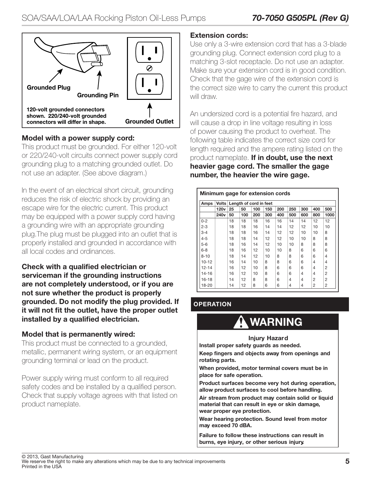

#### Model with a power supply cord:

This product must be grounded. For either 120-volt or 220/240-volt circuits connect power supply cord grounding plug to a matching grounded outlet. Do not use an adapter. (See above diagram.)

In the event of an electrical short circuit, grounding reduces the risk of electric shock by providing an escape wire for the electric current. This product may be equipped with a power supply cord having a grounding wire with an appropriate grounding plug.The plug must be plugged into an outlet that is properly installed and grounded in accordance with all local codes and ordinances.

Check with a qualified electrician or serviceman if the grounding instructions are not completely understood, or if you are not sure whether the product is properly grounded. Do not modify the plug provided. If it will not fit the outlet, have the proper outlet installed by a qualified electrician.

#### Model that is permanently wired:

This product must be connected to a grounded, metallic, permanent wiring system, or an equipment grounding terminal or lead on the product.

Power supply wiring must conform to all required safety codes and be installed by a qualified person. Check that supply voltage agrees with that listed on product nameplate.

#### Extension cords:

Use only a 3-wire extension cord that has a 3-blade grounding plug. Connect extension cord plug to a matching 3-slot receptacle. Do not use an adapter. Make sure your extension cord is in good condition. Check that the gage wire of the extension cord is the correct size wire to carry the current this product will draw.

An undersized cord is a potential fire hazard, and will cause a drop in line voltage resulting in loss of power causing the product to overheat. The following table indicates the correct size cord for length required and the ampere rating listed on the product nameplate. If in doubt, use the next heavier gage cord. The smaller the gage number, the heavier the wire gage.

| Amps      | <b>Volts</b>     |    | Length of cord in feet |     |     |     |                |     |     |                |
|-----------|------------------|----|------------------------|-----|-----|-----|----------------|-----|-----|----------------|
|           | 120 <sub>v</sub> | 25 | 50                     | 100 | 150 | 200 | 250            | 300 | 400 | 500            |
|           | 240 <sub>v</sub> | 50 | 100                    | 200 | 300 | 400 | 500            | 600 | 800 | 1000           |
| $0 - 2$   |                  | 18 | 18                     | 18  | 16  | 16  | 14             | 14  | 12  | 12             |
| $2 - 3$   |                  | 18 | 18                     | 16  | 14  | 14  | 12             | 12  | 10  | 10             |
| $3 - 4$   |                  | 18 | 18                     | 16  | 14  | 12  | 12             | 10  | 10  | 8              |
| $4 - 5$   |                  | 18 | 18                     | 14  | 12  | 12  | 10             | 10  | 8   | 8              |
| $5 - 6$   |                  | 18 | 16                     | 14  | 12  | 10  | 10             | 8   | 8   | 8              |
| $6 - 8$   |                  | 18 | 16                     | 12  | 10  | 10  | 8              | 6   | 6   | 6              |
| $8 - 10$  |                  | 18 | 14                     | 12  | 10  | 8   | 8              | 6   | 6   | 4              |
| $10 - 12$ |                  | 16 | 14                     | 10  | 8   | 8   | 6              | 6   | 4   | $\overline{4}$ |
| $12 - 14$ |                  | 16 | 12                     | 10  | 8   | 6   | 6              | 6   | 4   | 2              |
| $14 - 16$ |                  | 16 | 12                     | 10  | 8   | 6   | 6              | 4   | 4   | $\overline{2}$ |
| 16-18     |                  | 14 | 12                     | 8   | 8   | 6   | $\overline{4}$ | 4   | 2   | 2              |
| 18-20     |                  | 14 | 12                     | 8   | 6   | 6   | 4              | 4   | 2   | 2              |

### **OPERATION**

# WARNING

Injury Hazard

Install proper safety guards as needed.

Keep fingers and objects away from openings and rotating parts.

When provided, motor terminal covers must be in place for safe operation.

Product surfaces become very hot during operation, allow product surfaces to cool before handling.

Air stream from product may contain solid or liquid material that can result in eye or skin damage, wear proper eye protection.

Wear hearing protection. Sound level from motor may exceed 70 dBA.

Failure to follow these instructions can result in burns, eye injury, or other serious injury.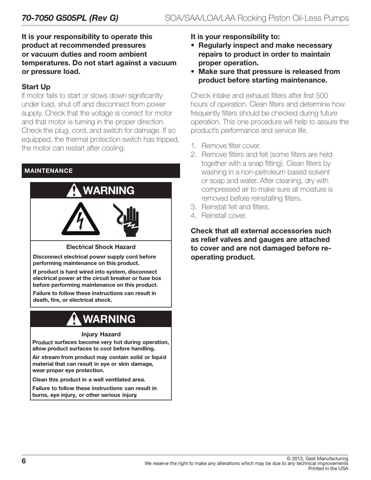#### It is your responsibility to operate this product at recommended pressures or vacuum duties and room ambient temperatures. Do not start against a vacuum or pressure load.

#### Start Up

If motor fails to start or slows down significantly under load, shut off and disconnect from power supply. Check that the voltage is correct for motor and that motor is turning in the proper direction. Check the plug, cord, and switch for damage. If so equipped, the thermal protection switch has tripped, the motor can restart after cooling.

### MAINTENANCE



Disconnect electrical power supply cord before performing maintenance on this product.

If product is hard wired into system, disconnect electrical power at the circuit breaker or fuse box before performing maintenance on this product.

Failure to follow these instructions can result in death, fire, or electrical shock.

# WARNING

#### **Injury Hazard**

Product surfaces become very hot during operation, allow product surfaces to cool before handling.

Air stream from product may contain solid or liquid material that can result in eye or skin damage, wear proper eye protection.

Clean this product in a well ventilated area.

Failure to follow these instructions can result in burns, eye injury, or other serious injury.

It is your responsibility to:

- Regularly inspect and make necessary repairs to product in order to maintain proper operation.
- Make sure that pressure is released from product before starting maintenance.

Check intake and exhaust filters after first 500 hours of operation. Clean filters and determine how frequently filters should be checked during future operation. This one procedure will help to assure the product's performance and service life.

- 1. Remove filter cover.
- 2. Remove filters and felt (some filters are held together with a snap fitting). Clean filters by washing in a non-petroleum based solvent or soap and water. After cleaning, dry with compressed air to make sure all moisture is removed before reinstalling filters.
- 3. Reinstall felt and filters.
- 4. Reinstall cover.

Check that all external accessories such as relief valves and gauges are attached to cover and are not damaged before reoperating product.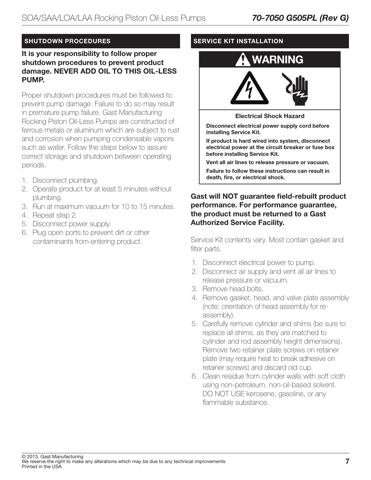#### It is your responsibility to follow proper shutdown procedures to prevent product damage. NEVER ADD OIL TO THIS OIL-LESS PUMP.

Proper shutdown procedures must be followed to prevent pump damage. Failure to do so may result in premature pump failure. Gast Manufacturing Rocking Piston Oil-Less Pumps are constructed of ferrous metals or aluminum which are subject to rust and corrosion when pumping condensable vapors such as water. Follow the steps below to assure correct storage and shutdown between operating periods.

- 1. Disconnect plumbing.
- 2. Operate product for at least 5 minutes without plumbing.
- 3. Run at maximum vacuum for 10 to 15 minutes.
- 4. Repeat step 2.
- 5. Disconnect power supply.
- 6. Plug open ports to prevent dirt or other contaminants from entering product.

#### SHUTDOWN PROCEDURES AND SERVICE KIT INSTALLATION

# WARNING



#### Electrical Shock Hazard

Disconnect electrical power supply cord before installing Service Kit.

If product is hard wired into system, disconnect electrical power at the circuit breaker or fuse box before installing Service Kit.

Vent all air lines to release pressure or vacuum. Failure to follow these instructions can result in death, fire, or electrical shock.

#### Gast will NOT guarantee field-rebuilt product performance. For performance guarantee, the product must be returned to a Gast Authorized Service Facility.

Service Kit contents vary. Most contain gasket and filter parts.

- 1. Disconnect electrical power to pump.
- 2. Disconnect air supply and vent all air lines to release pressure or vacuum.
- 3. Remove head bolts.
- 4. Remove gasket, head, and valve plate assembly (note: orientation of head assembly for reassembly).
- 5. Carefully remove cylinder and shims (be sure to replace all shims, as they are matched to cylinder and rod assembly height dimensions). Remove two retainer plate screws on retainer plate (may require heat to break adhesive on retainer screws) and discard old cup.
- 6. Clean residue from cylinder walls with soft cloth using non-petroleum, non-oil-based solvent. DO NOT USE kerosene, gasoline, or any flammable substance.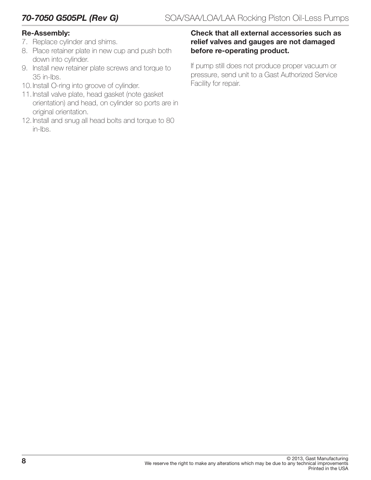#### Re-Assembly:

- 7. Replace cylinder and shims.
- 8. Place retainer plate in new cup and push both down into cylinder.
- 9. Install new retainer plate screws and torque to 35 in-lbs.
- 10.Install O-ring into groove of cylinder.
- 11.Install valve plate, head gasket (note gasket orientation) and head, on cylinder so ports are in original orientation.
- 12.Install and snug all head bolts and torque to 80 in-lbs.

#### Check that all external accessories such as relief valves and gauges are not damaged before re-operating product.

If pump still does not produce proper vacuum or pressure, send unit to a Gast Authorized Service Facility for repair.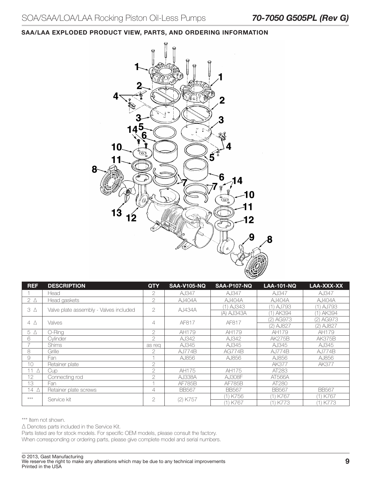#### SAA/LAA EXPLODED PRODUCT VIEW, PARTS, AND ORDERING INFORMATION



| <b>REF</b>     | <b>DESCRIPTION</b>                     | <b>QTY</b>    | <b>SAA-V105-NQ</b> | <b>SAA-P107-NQ</b> | <b>LAA-101-NQ</b> | LAA-XXX-XX    |
|----------------|----------------------------------------|---------------|--------------------|--------------------|-------------------|---------------|
|                | Head                                   | 2             | AJ347              | AJ347              | AJ347             | AJ347         |
| $2\Delta$      | Head gaskets                           | 2             | <b>AJ404A</b>      | AJ404A             | <b>AJ404A</b>     | AJ404A        |
| ЗΔ             | Valve plate assembly - Valves included | 2             | <b>AJ434A</b>      | (1) AJ343          | (1) AJ793         | (1) AJ793     |
|                |                                        |               |                    | (A) AJ343A         | (1) AK394         | (1) AK394     |
| $4 \wedge$     | Valves                                 | 4             | AF817              | AF817              | (2) AG973         | $(2)$ AG973   |
|                |                                        |               |                    |                    | (2) AJ827         | (2) AJ827     |
| 5 A            | O-Ring                                 | 2             | AH179              | AH179              | AH179             | AH179         |
| 6              | Cvlinder                               | 2             | AJ342              | AJ342              | <b>AK275B</b>     | <b>AK375B</b> |
|                | <b>Shims</b>                           | as rea        | AJ345              | AJ345              | AJ345             | AJ345         |
| 8              | Grille                                 | 2             | AJ774B             | <b>AG774B</b>      | AJ774B            | <b>AJ774B</b> |
| 9              | Fan                                    |               | AJ856              | AJ856              | AJ856             | AJ856         |
| 10             | Retainer plate                         | 2             |                    |                    | <b>AK377</b>      | <b>AK377</b>  |
| $11\Lambda$    | Cup                                    | $\mathcal{P}$ | AH175              | AH175              | AT283             |               |
| 12             | Connecting rod                         | 2             | AJ338A             | AJ308F             | AT566A            |               |
| 13             | Fan                                    |               | AF785B             | AF785B             | AT280             |               |
| 14 $\triangle$ | Retainer plate screws                  |               | <b>BB567</b>       | <b>BB567</b>       | <b>BB567</b>      | <b>BB567</b>  |
| $***$          | Service kit                            | 2             | (2) K757           | (1) K756           | (1) K767          | (1) K767      |
|                |                                        |               |                    | K767               | (1) K773          | (1) K773      |

\*\*\* Item not shown.

∆ Denotes parts included in the Service Kit.

Parts listed are for stock models. For specific OEM models, please consult the factory.

When corresponding or ordering parts, please give complete model and serial numbers.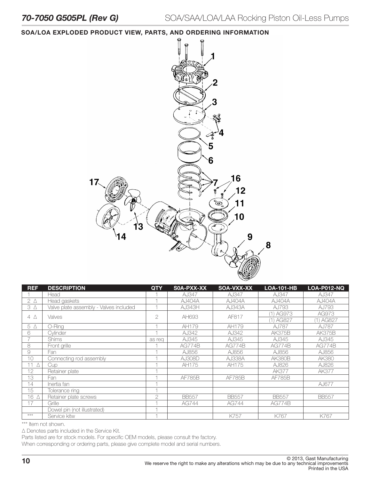#### SOA/LOA EXPLODED PRODUCT VIEW, PARTS, AND ORDERING INFORMATION



| <b>REF</b>     | <b>DESCRIPTION</b>                     | <b>QTY</b>     | SOA-PXX-XX    | SOA-VXX-XX    | <b>LOA-101-HB</b> | <b>LOA-P012-NQ</b> |
|----------------|----------------------------------------|----------------|---------------|---------------|-------------------|--------------------|
|                | Head                                   |                | AJ347         | AJ347         | AJ347             | AJ347              |
| $2\Delta$      | Head gaskets                           |                | <b>AJ404A</b> | <b>AJ404A</b> | <b>AJ404A</b>     | <b>AJ404A</b>      |
| $3\Delta$      | Valve plate assembly - Valves included |                | AJ343H        | AJ343A        | AJ793             | AJ793              |
| $4\Delta$      | Valves                                 | $\overline{2}$ | AH693         | AF817         | (1) AG973         | AG973              |
|                |                                        |                |               |               | (1) AG827         | (1) AG827          |
| $5\Delta$      | O-Ring                                 |                | AH179         | AH179         | AJ787             | AJ787              |
| 6              | Cylinder                               |                | AJ342         | AJ342         | <b>AK375B</b>     | <b>AK375B</b>      |
|                | <b>Shims</b>                           | as reg         | AJ345         | AJ345         | AJ345             | AJ345              |
| 8              | Front grille                           |                | <b>AG774B</b> | <b>AG774B</b> | AG774B            | <b>AG774B</b>      |
| 9              | Fan                                    |                | AJ856         | AJ856         | AJ856             | AJ856              |
| 10             | Connecting rod assembly                |                | AJ308D        | AJ338A        | <b>AK380B</b>     | AK380              |
| 11<br>$\wedge$ | Cup                                    |                | AH175         | AH175         | AJ826             | AJ826              |
| 12             | Retainer plate                         |                |               |               | <b>AK377</b>      | <b>AK377</b>       |
| 13             | Fan                                    |                | AF785B        | <b>AF785B</b> | AF785B            |                    |
| 14             | Inertia fan                            |                |               |               |                   | AJ677              |
| 15             | Tolerance ring                         |                |               |               |                   |                    |
| 16 A           | Retainer plate screws                  | $\mathcal{P}$  | <b>BB557</b>  | <b>BB557</b>  | <b>BB557</b>      | <b>BB557</b>       |
| 17             | Grille                                 |                | AG744         | AG744         | AG774B            |                    |
|                | Dowel pin (not illustrated)            |                |               |               |                   |                    |
| ***            | Service kitw                           |                |               | K757          | K767              | K767               |

\*\*\* Item not shown.

∆ Denotes parts included in the Service Kit.

Parts listed are for stock models. For specific OEM models, please consult the factory.

When corresponding or ordering parts, please give complete model and serial numbers.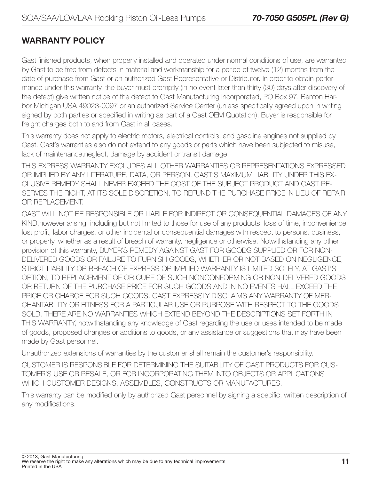### WARRANTY POLICY

Gast finished products, when properly installed and operated under normal conditions of use, are warranted by Gast to be free from defects in material and workmanship for a period of twelve (12) months from the date of purchase from Gast or an authorized Gast Representative or Distributor. In order to obtain performance under this warranty, the buyer must promptly (in no event later than thirty (30) days after discovery of the defect) give written notice of the defect to Gast Manufacturing Incorporated, PO Box 97, Benton Harbor Michigan USA 49023-0097 or an authorized Service Center (unless specifically agreed upon in writing signed by both parties or specified in writing as part of a Gast OEM Quotation). Buyer is responsible for freight charges both to and from Gast in all cases.

This warranty does not apply to electric motors, electrical controls, and gasoline engines not supplied by Gast. Gast's warranties also do not extend to any goods or parts which have been subjected to misuse, lack of maintenance,neglect, damage by accident or transit damage.

THIS EXPRESS WARRANTY EXCLUDES ALL OTHER WARRANTIES OR REPRESENTATIONS EXPRESSED OR IMPLIED BY ANY LITERATURE, DATA, OR PERSON. GAST'S MAXIMUM LIABILITY UNDER THIS EX-CLUSIVE REMEDY SHALL NEVER EXCEED THE COST OF THE SUBJECT PRODUCT AND GAST RE-SERVES THE RIGHT, AT ITS SOLE DISCRETION, TO REFUND THE PURCHASE PRICE IN LIEU OF REPAIR OR REPLACEMENT.

GAST WILL NOT BE RESPONSIBLE OR LIABLE FOR INDIRECT OR CONSEQUENTIAL DAMAGES OF ANY KIND,however arising, including but not limited to those for use of any products, loss of time, inconvenience, lost profit, labor charges, or other incidental or consequential damages with respect to persons, business, or property, whether as a result of breach of warranty, negligence or otherwise. Notwithstanding any other provision of this warranty, BUYER'S REMEDY AGAINST GAST FOR GOODS SUPPLIED OR FOR NON-DELIVERED GOODS OR FAILURE TO FURNISH GOODS, WHETHER OR NOT BASED ON NEGLIGENCE, STRICT LIABILITY OR BREACH OF EXPRESS OR IMPLIED WARRANTY IS LIMITED SOLELY, AT GAST'S OPTION, TO REPLACEMENT OF OR CURE OF SUCH NONCONFORMING OR NON-DELIVERED GOODS OR RETURN OF THE PURCHASE PRICE FOR SUCH GOODS AND IN NO EVENTS HALL EXCEED THE PRICE OR CHARGE FOR SUCH GOODS. GAST EXPRESSLY DISCLAIMS ANY WARRANTY OF MER-CHANTABILITY OR FITNESS FOR A PARTICULAR USE OR PURPOSE WITH RESPECT TO THE GOODS SOLD. THERE ARE NO WARRANTIES WHICH EXTEND BEYOND THE DESCRIPTIONS SET FORTH IN THIS WARRANTY, notwithstanding any knowledge of Gast regarding the use or uses intended to be made of goods, proposed changes or additions to goods, or any assistance or suggestions that may have been made by Gast personnel.

Unauthorized extensions of warranties by the customer shall remain the customer's responsibility.

CUSTOMER IS RESPONSIBLE FOR DETERMINING THE SUITABILITY OF GAST PRODUCTS FOR CUS-TOMER'S USE OR RESALE, OR FOR INCORPORATING THEM INTO OBJECTS OR APPLICATIONS WHICH CUSTOMER DESIGNS, ASSEMBLES, CONSTRUCTS OR MANUFACTURES.

This warranty can be modified only by authorized Gast personnel by signing a specific, written description of any modifications.